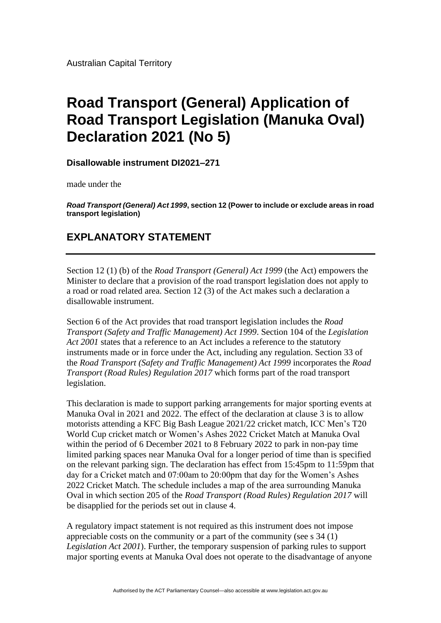Australian Capital Territory

## **Road Transport (General) Application of Road Transport Legislation (Manuka Oval) Declaration 2021 (No 5)**

**Disallowable instrument DI2021–271**

made under the

*Road Transport (General) Act 1999***, section 12 (Power to include or exclude areas in road transport legislation)**

## **EXPLANATORY STATEMENT**

Section 12 (1) (b) of the *Road Transport (General) Act 1999* (the Act) empowers the Minister to declare that a provision of the road transport legislation does not apply to a road or road related area. Section 12 (3) of the Act makes such a declaration a disallowable instrument.

Section 6 of the Act provides that road transport legislation includes the *Road Transport (Safety and Traffic Management) Act 1999*. Section 104 of the *Legislation Act 2001* states that a reference to an Act includes a reference to the statutory instruments made or in force under the Act, including any regulation. Section 33 of the *Road Transport (Safety and Traffic Management) Act 1999* incorporates the *Road Transport (Road Rules) Regulation 2017* which forms part of the road transport legislation.

This declaration is made to support parking arrangements for major sporting events at Manuka Oval in 2021 and 2022. The effect of the declaration at clause 3 is to allow motorists attending a KFC Big Bash League 2021/22 cricket match, ICC Men's T20 World Cup cricket match or Women's Ashes 2022 Cricket Match at Manuka Oval within the period of 6 December 2021 to 8 February 2022 to park in non-pay time limited parking spaces near Manuka Oval for a longer period of time than is specified on the relevant parking sign. The declaration has effect from 15:45pm to 11:59pm that day for a Cricket match and 07:00am to 20:00pm that day for the Women's Ashes 2022 Cricket Match. The schedule includes a map of the area surrounding Manuka Oval in which section 205 of the *Road Transport (Road Rules) Regulation 2017* will be disapplied for the periods set out in clause 4.

A regulatory impact statement is not required as this instrument does not impose appreciable costs on the community or a part of the community (see s 34 (1) *Legislation Act 2001*). Further, the temporary suspension of parking rules to support major sporting events at Manuka Oval does not operate to the disadvantage of anyone